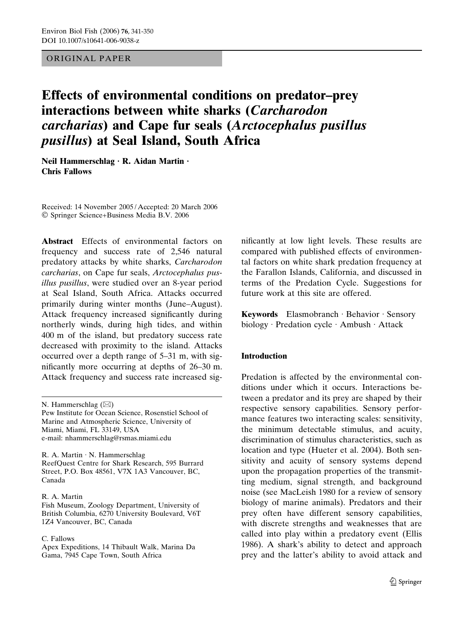## ORIGINAL PAPER

# Effects of environmental conditions on predator–prey interactions between white sharks (Carcharodon carcharias) and Cape fur seals (Arctocephalus pusillus pusillus) at Seal Island, South Africa

Neil Hammerschlag · R. Aidan Martin · Chris Fallows

Received: 14 November 2005 / Accepted: 20 March 2006 Springer Science+Business Media B.V. 2006

Abstract Effects of environmental factors on frequency and success rate of 2,546 natural predatory attacks by white sharks, Carcharodon carcharias, on Cape fur seals, Arctocephalus pusillus pusillus, were studied over an 8-year period at Seal Island, South Africa. Attacks occurred primarily during winter months (June–August). Attack frequency increased significantly during northerly winds, during high tides, and within 400 m of the island, but predatory success rate decreased with proximity to the island. Attacks occurred over a depth range of 5–31 m, with significantly more occurring at depths of 26–30 m. Attack frequency and success rate increased sig-

R. A. Martin · N. Hammerschlag ReefQuest Centre for Shark Research, 595 Burrard Street, P.O. Box 48561, V7X 1A3 Vancouver, BC, Canada

#### R. A. Martin

Fish Museum, Zoology Department, University of British Columbia, 6270 University Boulevard, V6T 1Z4 Vancouver, BC, Canada

#### C. Fallows

Apex Expeditions, 14 Thibault Walk, Marina Da Gama, 7945 Cape Town, South Africa

nificantly at low light levels. These results are compared with published effects of environmental factors on white shark predation frequency at the Farallon Islands, California, and discussed in terms of the Predation Cycle. Suggestions for future work at this site are offered.

Keywords Elasmobranch · Behavior · Sensory biology  $\cdot$  Predation cycle  $\cdot$  Ambush  $\cdot$  Attack

## Introduction

Predation is affected by the environmental conditions under which it occurs. Interactions between a predator and its prey are shaped by their respective sensory capabilities. Sensory performance features two interacting scales: sensitivity, the minimum detectable stimulus, and acuity, discrimination of stimulus characteristics, such as location and type (Hueter et al. 2004). Both sensitivity and acuity of sensory systems depend upon the propagation properties of the transmitting medium, signal strength, and background noise (see MacLeish 1980 for a review of sensory biology of marine animals). Predators and their prey often have different sensory capabilities, with discrete strengths and weaknesses that are called into play within a predatory event (Ellis 1986). A shark's ability to detect and approach prey and the latter's ability to avoid attack and

N. Hammerschlag  $(\boxtimes)$ 

Pew Institute for Ocean Science, Rosenstiel School of Marine and Atmospheric Science, University of Miami, Miami, FL 33149, USA e-mail: nhammerschlag@rsmas.miami.edu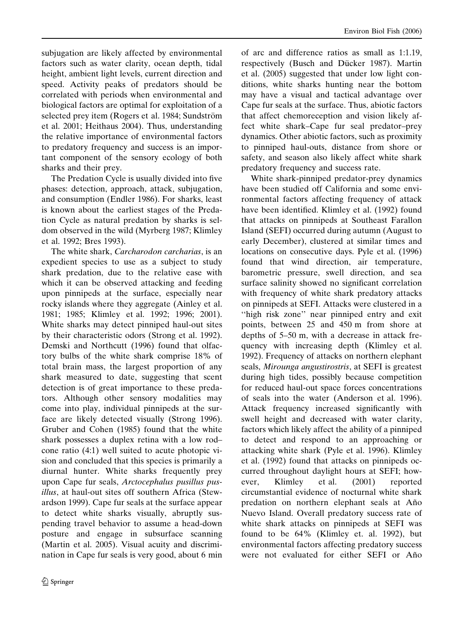subjugation are likely affected by environmental factors such as water clarity, ocean depth, tidal height, ambient light levels, current direction and speed. Activity peaks of predators should be correlated with periods when environmental and biological factors are optimal for exploitation of a selected prey item (Rogers et al. 1984; Sundström et al. 2001; Heithaus 2004). Thus, understanding the relative importance of environmental factors to predatory frequency and success is an important component of the sensory ecology of both sharks and their prey.

The Predation Cycle is usually divided into five phases: detection, approach, attack, subjugation, and consumption (Endler 1986). For sharks, least is known about the earliest stages of the Predation Cycle as natural predation by sharks is seldom observed in the wild (Myrberg 1987; Klimley et al. 1992; Bres 1993).

The white shark, Carcharodon carcharias, is an expedient species to use as a subject to study shark predation, due to the relative ease with which it can be observed attacking and feeding upon pinnipeds at the surface, especially near rocky islands where they aggregate (Ainley et al. 1981; 1985; Klimley et al. 1992; 1996; 2001). White sharks may detect pinniped haul-out sites by their characteristic odors (Strong et al. 1992). Demski and Northcutt (1996) found that olfactory bulbs of the white shark comprise 18% of total brain mass, the largest proportion of any shark measured to date, suggesting that scent detection is of great importance to these predators. Although other sensory modalities may come into play, individual pinnipeds at the surface are likely detected visually (Strong 1996). Gruber and Cohen (1985) found that the white shark possesses a duplex retina with a low rod– cone ratio (4:1) well suited to acute photopic vision and concluded that this species is primarily a diurnal hunter. White sharks frequently prey upon Cape fur seals, Arctocephalus pusillus pusillus, at haul-out sites off southern Africa (Stewardson 1999). Cape fur seals at the surface appear to detect white sharks visually, abruptly suspending travel behavior to assume a head-down posture and engage in subsurface scanning (Martin et al. 2005). Visual acuity and discrimination in Cape fur seals is very good, about 6 min

of arc and difference ratios as small as 1:1.19, respectively (Busch and Dücker 1987). Martin et al. (2005) suggested that under low light conditions, white sharks hunting near the bottom may have a visual and tactical advantage over Cape fur seals at the surface. Thus, abiotic factors that affect chemoreception and vision likely affect white shark–Cape fur seal predator–prey dynamics. Other abiotic factors, such as proximity to pinniped haul-outs, distance from shore or safety, and season also likely affect white shark predatory frequency and success rate.

White shark-pinniped predator-prey dynamics have been studied off California and some environmental factors affecting frequency of attack have been identified. Klimley et al. (1992) found that attacks on pinnipeds at Southeast Farallon Island (SEFI) occurred during autumn (August to early December), clustered at similar times and locations on consecutive days. Pyle et al. (1996) found that wind direction, air temperature, barometric pressure, swell direction, and sea surface salinity showed no significant correlation with frequency of white shark predatory attacks on pinnipeds at SEFI. Attacks were clustered in a "high risk zone" near pinniped entry and exit points, between 25 and 450 m from shore at depths of 5–50 m, with a decrease in attack frequency with increasing depth (Klimley et al. 1992). Frequency of attacks on northern elephant seals, Mirounga angustirostris, at SEFI is greatest during high tides, possibly because competition for reduced haul-out space forces concentrations of seals into the water (Anderson et al. 1996). Attack frequency increased significantly with swell height and decreased with water clarity, factors which likely affect the ability of a pinniped to detect and respond to an approaching or attacking white shark (Pyle et al. 1996). Klimley et al. (1992) found that attacks on pinnipeds occurred throughout daylight hours at SEFI; however, Klimley et al. (2001) reported circumstantial evidence of nocturnal white shark predation on northern elephant seals at Año Nuevo Island. Overall predatory success rate of white shark attacks on pinnipeds at SEFI was found to be 64% (Klimley et. al. 1992), but environmental factors affecting predatory success were not evaluated for either SEFI or Año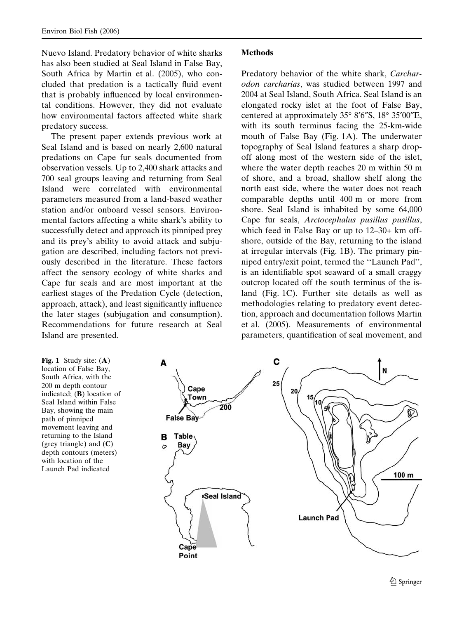Nuevo Island. Predatory behavior of white sharks has also been studied at Seal Island in False Bay, South Africa by Martin et al. (2005), who concluded that predation is a tactically fluid event that is probably influenced by local environmental conditions. However, they did not evaluate how environmental factors affected white shark predatory success.

The present paper extends previous work at Seal Island and is based on nearly 2,600 natural predations on Cape fur seals documented from observation vessels. Up to 2,400 shark attacks and 700 seal groups leaving and returning from Seal Island were correlated with environmental parameters measured from a land-based weather station and/or onboard vessel sensors. Environmental factors affecting a white shark's ability to successfully detect and approach its pinniped prey and its prey's ability to avoid attack and subjugation are described, including factors not previously described in the literature. These factors affect the sensory ecology of white sharks and Cape fur seals and are most important at the earliest stages of the Predation Cycle (detection, approach, attack), and least significantly influence the later stages (subjugation and consumption). Recommendations for future research at Seal Island are presented.

# **Methods**

Predatory behavior of the white shark, Carcharodon carcharias, was studied between 1997 and 2004 at Seal Island, South Africa. Seal Island is an elongated rocky islet at the foot of False Bay, centered at approximately 35° 8'6"S, 18° 35'00"E, with its south terminus facing the 25-km-wide mouth of False Bay (Fig. 1A). The underwater topography of Seal Island features a sharp dropoff along most of the western side of the islet, where the water depth reaches 20 m within 50 m of shore, and a broad, shallow shelf along the north east side, where the water does not reach comparable depths until 400 m or more from shore. Seal Island is inhabited by some 64,000 Cape fur seals, Arctocephalus pusillus pusillus, which feed in False Bay or up to 12–30+ km offshore, outside of the Bay, returning to the island at irregular intervals (Fig. 1B). The primary pinniped entry/exit point, termed the ''Launch Pad'', is an identifiable spot seaward of a small craggy outcrop located off the south terminus of the island (Fig. 1C). Further site details as well as methodologies relating to predatory event detection, approach and documentation follows Martin et al. (2005). Measurements of environmental parameters, quantification of seal movement, and

Fig. 1 Study site: (A) location of False Bay, South Africa, with the 200 m depth contour indicated; (B) location of Seal Island within False Bay, showing the main path of pinniped movement leaving and returning to the Island (grey triangle) and  $(C)$ depth contours (meters) with location of the Launch Pad indicated

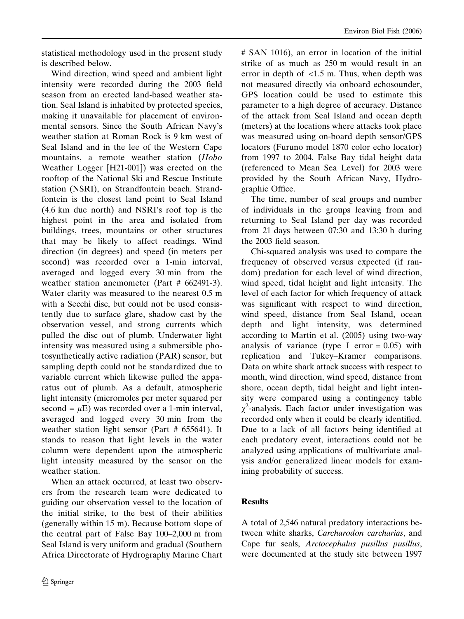statistical methodology used in the present study is described below.

Wind direction, wind speed and ambient light intensity were recorded during the 2003 field season from an erected land-based weather station. Seal Island is inhabited by protected species, making it unavailable for placement of environmental sensors. Since the South African Navy's weather station at Roman Rock is 9 km west of Seal Island and in the lee of the Western Cape mountains, a remote weather station (Hobo Weather Logger [H21-001]) was erected on the rooftop of the National Ski and Rescue Institute station (NSRI), on Strandfontein beach. Strandfontein is the closest land point to Seal Island (4.6 km due north) and NSRI's roof top is the highest point in the area and isolated from buildings, trees, mountains or other structures that may be likely to affect readings. Wind direction (in degrees) and speed (in meters per second) was recorded over a 1-min interval, averaged and logged every 30 min from the weather station anemometer (Part # 662491-3). Water clarity was measured to the nearest 0.5 m with a Secchi disc, but could not be used consistently due to surface glare, shadow cast by the observation vessel, and strong currents which pulled the disc out of plumb. Underwater light intensity was measured using a submersible photosynthetically active radiation (PAR) sensor, but sampling depth could not be standardized due to variable current which likewise pulled the apparatus out of plumb. As a default, atmospheric light intensity (micromoles per meter squared per second =  $\mu$ E) was recorded over a 1-min interval, averaged and logged every 30 min from the weather station light sensor (Part # 655641). It stands to reason that light levels in the water column were dependent upon the atmospheric light intensity measured by the sensor on the weather station.

When an attack occurred, at least two observers from the research team were dedicated to guiding our observation vessel to the location of the initial strike, to the best of their abilities (generally within 15 m). Because bottom slope of the central part of False Bay 100–2,000 m from Seal Island is very uniform and gradual (Southern Africa Directorate of Hydrography Marine Chart # SAN 1016), an error in location of the initial strike of as much as 250 m would result in an error in depth of <1.5 m. Thus, when depth was not measured directly via onboard echosounder, GPS location could be used to estimate this parameter to a high degree of accuracy. Distance of the attack from Seal Island and ocean depth (meters) at the locations where attacks took place was measured using on-board depth sensor/GPS locators (Furuno model 1870 color echo locator) from 1997 to 2004. False Bay tidal height data (referenced to Mean Sea Level) for 2003 were provided by the South African Navy, Hydrographic Office.

The time, number of seal groups and number of individuals in the groups leaving from and returning to Seal Island per day was recorded from 21 days between 07:30 and 13:30 h during the 2003 field season.

Chi-squared analysis was used to compare the frequency of observed versus expected (if random) predation for each level of wind direction, wind speed, tidal height and light intensity. The level of each factor for which frequency of attack was significant with respect to wind direction, wind speed, distance from Seal Island, ocean depth and light intensity, was determined according to Martin et al. (2005) using two-way analysis of variance (type I error  $= 0.05$ ) with replication and Tukey–Kramer comparisons. Data on white shark attack success with respect to month, wind direction, wind speed, distance from shore, ocean depth, tidal height and light intensity were compared using a contingency table  $\chi^2$ -analysis. Each factor under investigation was recorded only when it could be clearly identified. Due to a lack of all factors being identified at each predatory event, interactions could not be analyzed using applications of multivariate analysis and/or generalized linear models for examining probability of success.

# Results

A total of 2,546 natural predatory interactions between white sharks, Carcharodon carcharias, and Cape fur seals, Arctocephalus pusillus pusillus, were documented at the study site between 1997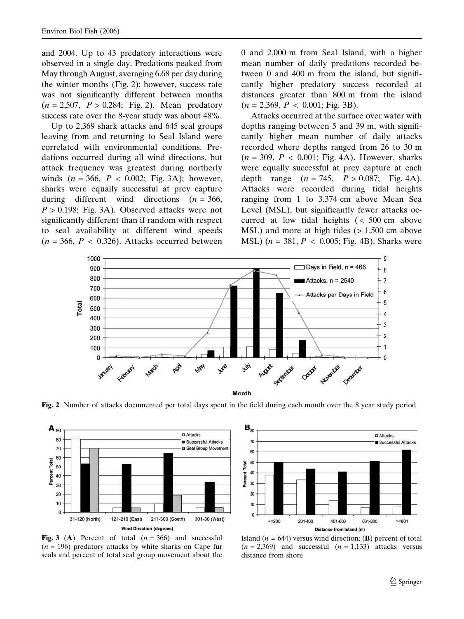and 2004. Up to 43 predatory interactions were observed in a single day. Predations peaked from May through August, averaging 6.68 per day during the winter months (Fig. 2); however, success rate was not significantly different between months  $(n = 2,507, P > 0.284; Fig. 2)$ . Mean predatory success rate over the 8-year study was about 48%.

Up to 2,369 shark attacks and 645 seal groups leaving from and returning to Seal Island were correlated with environmental conditions. Predations occurred during all wind directions, but attack frequency was greatest during northerly winds ( $n = 366$ ,  $P < 0.002$ ; Fig. 3A); however, sharks were equally successful at prey capture during different wind directions  $(n = 366,$  $P > 0.198$ ; Fig. 3A). Observed attacks were not significantly different than if random with respect to seal availability at different wind speeds  $(n = 366, P < 0.326)$ . Attacks occurred between 0 and 2,000 m from Seal Island, with a higher mean number of daily predations recorded between 0 and 400 m from the island, but significantly higher predatory success recorded at distances greater than 800 m from the island  $(n = 2.369, P < 0.001;$  Fig. 3B).

Attacks occurred at the surface over water with depths ranging between 5 and 39 m, with significantly higher mean number of daily attacks recorded where depths ranged from 26 to 30 m  $(n = 309, P < 0.001;$  Fig. 4A). However, sharks were equally successful at prey capture at each depth range  $(n = 745, P > 0.087;$  Fig. 4A). Attacks were recorded during tidal heights ranging from 1 to 3,374 cm above Mean Sea Level (MSL), but significantly fewer attacks occurred at low tidal heights  $\approx 500$  cm above MSL) and more at high tides ( $> 1,500$  cm above MSL) ( $n = 381, P < 0.005$ ; Fig. 4B). Sharks were



Fig. 2 Number of attacks documented per total days spent in the field during each month over the 8 year study period



Fig. 3 (A) Percent of total  $(n = 366)$  and successful  $(n = 196)$  predatory attacks by white sharks on Cape fur seals and percent of total seal group movement about the



Island ( $n = 644$ ) versus wind direction; (**B**) percent of total  $(n = 2,369)$  and successful  $(n = 1,133)$  attacks versus distance from shore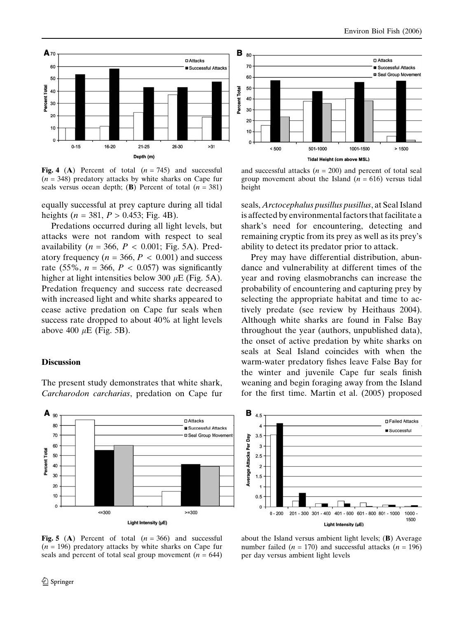

Fig. 4 (A) Percent of total  $(n = 745)$  and successful  $(n = 348)$  predatory attacks by white sharks on Cape fur seals versus ocean depth; (**B**) Percent of total  $(n = 381)$ 

equally successful at prey capture during all tidal heights ( $n = 381, P > 0.453$ ; Fig. 4B).

Predations occurred during all light levels, but attacks were not random with respect to seal availability ( $n = 366$ ,  $P < 0.001$ ; Fig. 5A). Predatory frequency ( $n = 366$ ,  $P < 0.001$ ) and success rate (55%,  $n = 366$ ,  $P < 0.057$ ) was significantly higher at light intensities below 300  $\mu$ E (Fig. 5A). Predation frequency and success rate decreased with increased light and white sharks appeared to cease active predation on Cape fur seals when success rate dropped to about 40% at light levels above 400  $\mu$ E (Fig. 5B).

#### Discussion



The present study demonstrates that white shark, Carcharodon carcharias, predation on Cape fur

Fig. 5 (A) Percent of total  $(n = 366)$  and successful  $(n = 196)$  predatory attacks by white sharks on Cape fur seals and percent of total seal group movement ( $n = 644$ )



and successful attacks  $(n = 200)$  and percent of total seal group movement about the Island ( $n = 616$ ) versus tidal height

seals, Arctocephalus pusillus pusillus, at Seal Island is affected by environmental factors that facilitate a shark's need for encountering, detecting and remaining cryptic from its prey as well as its prey's ability to detect its predator prior to attack.

Prey may have differential distribution, abundance and vulnerability at different times of the year and roving elasmobranchs can increase the probability of encountering and capturing prey by selecting the appropriate habitat and time to actively predate (see review by Heithaus 2004). Although white sharks are found in False Bay throughout the year (authors, unpublished data), the onset of active predation by white sharks on seals at Seal Island coincides with when the warm-water predatory fishes leave False Bay for the winter and juvenile Cape fur seals finish weaning and begin foraging away from the Island for the first time. Martin et al. (2005) proposed



about the Island versus ambient light levels; (B) Average number failed ( $n = 170$ ) and successful attacks ( $n = 196$ ) per day versus ambient light levels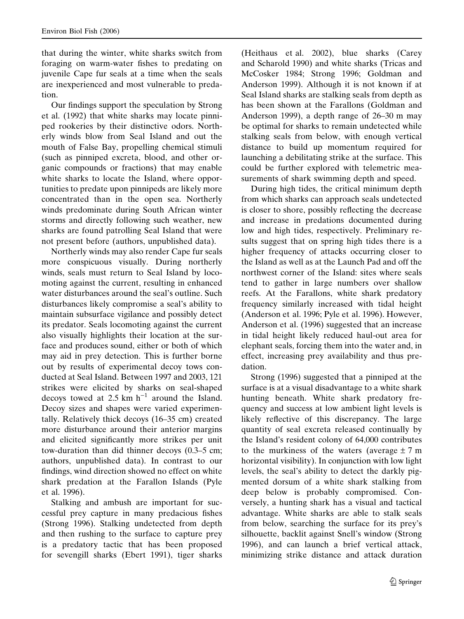that during the winter, white sharks switch from foraging on warm-water fishes to predating on juvenile Cape fur seals at a time when the seals are inexperienced and most vulnerable to predation.

Our findings support the speculation by Strong et al. (1992) that white sharks may locate pinniped rookeries by their distinctive odors. Northerly winds blow from Seal Island and out the mouth of False Bay, propelling chemical stimuli (such as pinniped excreta, blood, and other organic compounds or fractions) that may enable white sharks to locate the Island, where opportunities to predate upon pinnipeds are likely more concentrated than in the open sea. Northerly winds predominate during South African winter storms and directly following such weather, new sharks are found patrolling Seal Island that were not present before (authors, unpublished data).

Northerly winds may also render Cape fur seals more conspicuous visually. During northerly winds, seals must return to Seal Island by locomoting against the current, resulting in enhanced water disturbances around the seal's outline. Such disturbances likely compromise a seal's ability to maintain subsurface vigilance and possibly detect its predator. Seals locomoting against the current also visually highlights their location at the surface and produces sound, either or both of which may aid in prey detection. This is further borne out by results of experimental decoy tows conducted at Seal Island. Between 1997 and 2003, 121 strikes were elicited by sharks on seal-shaped decoys towed at 2.5 km  $h^{-1}$  around the Island. Decoy sizes and shapes were varied experimentally. Relatively thick decoys (16–35 cm) created more disturbance around their anterior margins and elicited significantly more strikes per unit tow-duration than did thinner decoys (0.3–5 cm; authors, unpublished data). In contrast to our findings, wind direction showed no effect on white shark predation at the Farallon Islands (Pyle et al. 1996).

Stalking and ambush are important for successful prey capture in many predacious fishes (Strong 1996). Stalking undetected from depth and then rushing to the surface to capture prey is a predatory tactic that has been proposed for sevengill sharks (Ebert 1991), tiger sharks

(Heithaus et al. 2002), blue sharks (Carey and Scharold 1990) and white sharks (Tricas and McCosker 1984; Strong 1996; Goldman and Anderson 1999). Although it is not known if at Seal Island sharks are stalking seals from depth as has been shown at the Farallons (Goldman and Anderson 1999), a depth range of 26–30 m may be optimal for sharks to remain undetected while stalking seals from below, with enough vertical distance to build up momentum required for launching a debilitating strike at the surface. This could be further explored with telemetric measurements of shark swimming depth and speed.

During high tides, the critical minimum depth from which sharks can approach seals undetected is closer to shore, possibly reflecting the decrease and increase in predations documented during low and high tides, respectively. Preliminary results suggest that on spring high tides there is a higher frequency of attacks occurring closer to the Island as well as at the Launch Pad and off the northwest corner of the Island: sites where seals tend to gather in large numbers over shallow reefs. At the Farallons, white shark predatory frequency similarly increased with tidal height (Anderson et al. 1996; Pyle et al. 1996). However, Anderson et al. (1996) suggested that an increase in tidal height likely reduced haul-out area for elephant seals, forcing them into the water and, in effect, increasing prey availability and thus predation.

Strong (1996) suggested that a pinniped at the surface is at a visual disadvantage to a white shark hunting beneath. White shark predatory frequency and success at low ambient light levels is likely reflective of this discrepancy. The large quantity of seal excreta released continually by the Island's resident colony of 64,000 contributes to the murkiness of the waters (average  $\pm$  7 m horizontal visibility). In conjunction with low light levels, the seal's ability to detect the darkly pigmented dorsum of a white shark stalking from deep below is probably compromised. Conversely, a hunting shark has a visual and tactical advantage. White sharks are able to stalk seals from below, searching the surface for its prey's silhouette, backlit against Snell's window (Strong 1996), and can launch a brief vertical attack, minimizing strike distance and attack duration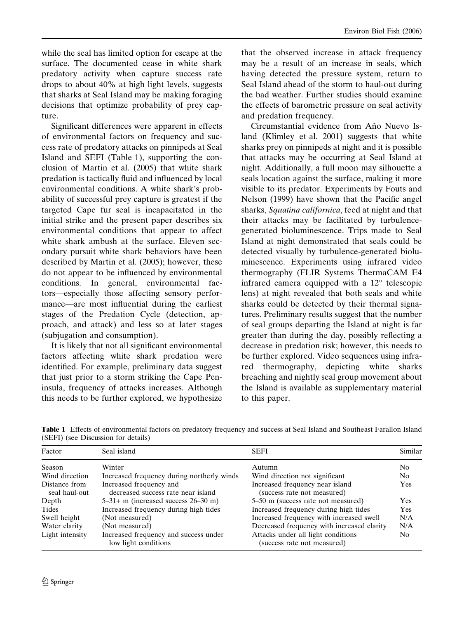while the seal has limited option for escape at the surface. The documented cease in white shark predatory activity when capture success rate drops to about 40% at high light levels, suggests that sharks at Seal Island may be making foraging decisions that optimize probability of prey capture.

Significant differences were apparent in effects of environmental factors on frequency and success rate of predatory attacks on pinnipeds at Seal Island and SEFI (Table 1), supporting the conclusion of Martin et al. (2005) that white shark predation is tactically fluid and influenced by local environmental conditions. A white shark's probability of successful prey capture is greatest if the targeted Cape fur seal is incapacitated in the initial strike and the present paper describes six environmental conditions that appear to affect white shark ambush at the surface. Eleven secondary pursuit white shark behaviors have been described by Martin et al. (2005); however, these do not appear to be influenced by environmental conditions. In general, environmental factors—especially those affecting sensory performance—are most influential during the earliest stages of the Predation Cycle (detection, approach, and attack) and less so at later stages (subjugation and consumption).

It is likely that not all significant environmental factors affecting white shark predation were identified. For example, preliminary data suggest that just prior to a storm striking the Cape Peninsula, frequency of attacks increases. Although this needs to be further explored, we hypothesize

that the observed increase in attack frequency may be a result of an increase in seals, which having detected the pressure system, return to Seal Island ahead of the storm to haul-out during the bad weather. Further studies should examine the effects of barometric pressure on seal activity and predation frequency.

Circumstantial evidence from Año Nuevo Island (Klimley et al. 2001) suggests that white sharks prey on pinnipeds at night and it is possible that attacks may be occurring at Seal Island at night. Additionally, a full moon may silhouette a seals location against the surface, making it more visible to its predator. Experiments by Fouts and Nelson (1999) have shown that the Pacific angel sharks, Squatina californica, feed at night and that their attacks may be facilitated by turbulencegenerated bioluminescence. Trips made to Seal Island at night demonstrated that seals could be detected visually by turbulence-generated bioluminescence. Experiments using infrared video thermography (FLIR Systems ThermaCAM E4 infrared camera equipped with a 12° telescopic lens) at night revealed that both seals and white sharks could be detected by their thermal signatures. Preliminary results suggest that the number of seal groups departing the Island at night is far greater than during the day, possibly reflecting a decrease in predation risk; however, this needs to be further explored. Video sequences using infrared thermography, depicting white sharks breaching and nightly seal group movement about the Island is available as supplementary material to this paper.

| Factor                         | Seal island                                                   | <b>SEFI</b>                                                       | Similar |
|--------------------------------|---------------------------------------------------------------|-------------------------------------------------------------------|---------|
| Season                         | Winter                                                        | Autumn                                                            | No.     |
| Wind direction                 | Increased frequency during northerly winds                    | Wind direction not significant                                    | No.     |
| Distance from<br>seal haul-out | Increased frequency and<br>decreased success rate near island | Increased frequency near island<br>(success rate not measured)    | Yes     |
| Depth                          | $5-31+$ m (increased success 26-30 m)                         | 5–50 m (success rate not measured)                                | Yes     |
| Tides                          | Increased frequency during high tides                         | Increased frequency during high tides                             | Yes     |
| Swell height                   | (Not measured)                                                | Increased frequency with increased swell                          | N/A     |
| Water clarity                  | (Not measured)                                                | Decreased frequency with increased clarity                        | N/A     |
| Light intensity                | Increased frequency and success under<br>low light conditions | Attacks under all light conditions<br>(success rate not measured) | No      |

Table 1 Effects of environmental factors on predatory frequency and success at Seal Island and Southeast Farallon Island (SEFI) (see Discussion for details)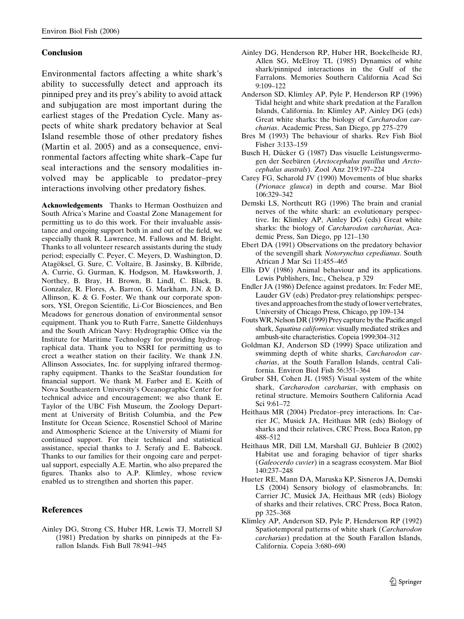## Conclusion

Environmental factors affecting a white shark's ability to successfully detect and approach its pinniped prey and its prey's ability to avoid attack and subjugation are most important during the earliest stages of the Predation Cycle. Many aspects of white shark predatory behavior at Seal Island resemble those of other predatory fishes (Martin et al. 2005) and as a consequence, environmental factors affecting white shark–Cape fur seal interactions and the sensory modalities involved may be applicable to predator–prey interactions involving other predatory fishes.

Acknowledgements Thanks to Herman Oosthuizen and South Africa's Marine and Coastal Zone Management for permitting us to do this work. For their invaluable assistance and ongoing support both in and out of the field, we especially thank R. Lawrence, M. Fallows and M. Bright. Thanks to all volunteer research assistants during the study period; especially C. Peyer, C. Meyers, D. Washington, D. Atagöksel, G. Sure, C. Voltaire, B. Jasinsky, B. Kilbride, A. Currie, G. Gurman, K. Hodgson, M. Hawksworth, J. Northey, B. Bray, H. Brown, B. Lindl, C. Black, B. Gonzalez, R. Flores, A. Barron, G. Markham, J.N. & D. Allinson, K. & G. Foster. We thank our corporate sponsors, YSI, Oregon Scientific, Li-Cor Biosciences, and Ben Meadows for generous donation of environmental sensor equipment. Thank you to Ruth Farre, Sanette Gildenhuys and the South African Navy: Hydrographic Office via the Institute for Maritime Technology for providing hydrographical data. Thank you to NSRI for permitting us to erect a weather station on their facility. We thank J.N. Allinson Associates, Inc. for supplying infrared thermography equipment. Thanks to the SeaStar foundation for financial support. We thank M. Farber and E. Keith of Nova Southeastern University's Oceanographic Center for technical advice and encouragement; we also thank E. Taylor of the UBC Fish Museum, the Zoology Department at University of British Columbia, and the Pew Institute for Ocean Science, Rosenstiel School of Marine and Atmospheric Science at the University of Miami for continued support. For their technical and statistical assistance, special thanks to J. Serafy and E. Babcock. Thanks to our families for their ongoing care and perpetual support, especially A.E. Martin, who also prepared the figures. Thanks also to A.P. Klimley, whose review enabled us to strengthen and shorten this paper.

## References

Ainley DG, Strong CS, Huber HR, Lewis TJ, Morrell SJ (1981) Predation by sharks on pinnipeds at the Farallon Islands. Fish Bull 78:941–945

- Ainley DG, Henderson RP, Huber HR, Boekelheide RJ, Allen SG, McElroy TL (1985) Dynamics of white shark/pinniped interactions in the Gulf of the Farralons. Memories Southern California Acad Sci 9:109–122
- Anderson SD, Klimley AP, Pyle P, Henderson RP (1996) Tidal height and white shark predation at the Farallon Islands, California. In: Klimley AP, Ainley DG (eds) Great white sharks: the biology of Carcharodon carcharias. Academic Press, San Diego, pp 275–279
- Bres M (1993) The behaviour of sharks. Rev Fish Biol Fisher 3:133–159
- Busch H, Dücker G (1987) Das visuelle Leistungsvermogen der Seebären (Arctocephalus pusillus und Arctocephalus australs). Zool Anz 219:197–224
- Carey FG, Scharold JV (1990) Movements of blue sharks (Prionace glauca) in depth and course. Mar Biol 106:329–342
- Demski LS, Northcutt RG (1996) The brain and cranial nerves of the white shark: an evolutionary perspective. In: Klimley AP, Ainley DG (eds) Great white sharks: the biology of Carcharodon carcharias, Academic Press, San Diego, pp 121–130
- Ebert DA (1991) Observations on the predatory behavior of the sevengill shark Notorynchus cepedianus. South African J Mar Sci 11:455–465
- Ellis DV (1986) Animal behaviour and its applications. Lewis Publishers, Inc., Chelsea, p 329
- Endler JA (1986) Defence against predators. In: Feder ME, Lauder GV (eds) Predator-prey relationships: perspectives and approaches from the study of lower vertebrates, University of Chicago Press, Chicago, pp 109–134
- FoutsWR, Nelson DR (1999) Prey capture by the Pacific angel shark, Squatina californica: visually mediated strikes and ambush-site characteristics. Copeia 1999:304–312
- Goldman KJ, Anderson SD (1999) Space utilization and swimming depth of white sharks, Carcharodon carcharias, at the South Farallon Islands, central California. Environ Biol Fish 56:351–364
- Gruber SH, Cohen JL (1985) Visual system of the white shark, Carcharodon carcharias, with emphasis on retinal structure. Memoirs Southern California Acad Sci 9:61–72
- Heithaus MR (2004) Predator–prey interactions. In: Carrier JC, Musick JA, Heithaus MR (eds) Biology of sharks and their relatives, CRC Press, Boca Raton, pp 488–512
- Heithaus MR, Dill LM, Marshall GJ, Buhleier B (2002) Habitat use and foraging behavior of tiger sharks (Galeocerdo cuvier) in a seagrass ecosystem. Mar Biol 140:237–248
- Hueter RE, Mann DA, Maruska KP, Sisneros JA, Demski LS (2004) Sensory biology of elasmobranchs. In: Carrier JC, Musick JA, Heithaus MR (eds) Biology of sharks and their relatives, CRC Press, Boca Raton, pp 325–368
- Klimley AP, Anderson SD, Pyle P, Henderson RP (1992) Spatiotemporal patterns of white shark (Carcharodon carcharias) predation at the South Farallon Islands, California. Copeia 3:680–690